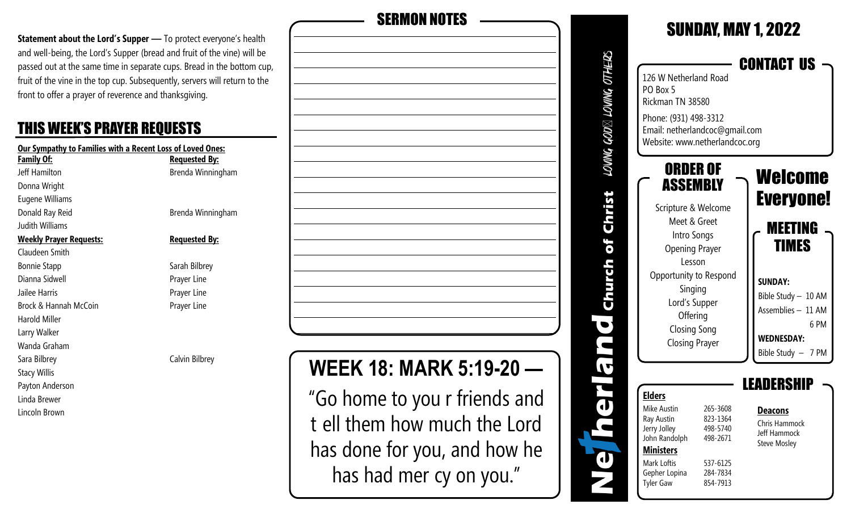**Statement about the Lord's Supper** — To protect everyone's health and well-being, the Lord's Supper (bread and fruit of the vine) will be passed out at the same time in separate cups. Bread in the bottom cup, fruit of the vine in the top cup. Subsequently, servers will return to the front to offer a prayer of reverence and thanksgiving.

#### THIS WEEK'S PRAYER REQUESTS

| <b>Our Sympathy to Families with a Recent Loss of Loved Ones:</b> |                      |  |  |  |
|-------------------------------------------------------------------|----------------------|--|--|--|
| Family Of:                                                        | <b>Requested By:</b> |  |  |  |
| Jeff Hamilton                                                     | Brenda Winningham    |  |  |  |
| Donna Wright                                                      |                      |  |  |  |
| Eugene Williams                                                   |                      |  |  |  |
| Donald Ray Reid                                                   | Brenda Winningham    |  |  |  |
| Judith Williams                                                   |                      |  |  |  |
| <u>Weekly Prayer Requests:</u>                                    | <b>Requested By:</b> |  |  |  |
| Claudeen Smith                                                    |                      |  |  |  |
| <b>Bonnie Stapp</b>                                               | Sarah Bilbrey        |  |  |  |
| Dianna Sidwell                                                    | Prayer Line          |  |  |  |
| Jailee Harris                                                     | Prayer Line          |  |  |  |
| Brock & Hannah McCoin                                             | Prayer Line          |  |  |  |
| <b>Harold Miller</b>                                              |                      |  |  |  |
| Larry Walker                                                      |                      |  |  |  |
| Wanda Graham                                                      |                      |  |  |  |
| Sara Bilbrey                                                      | Calvin Bilbrey       |  |  |  |
| Stacy Willis                                                      |                      |  |  |  |
| Payton Anderson                                                   |                      |  |  |  |
| Linda Brewer                                                      |                      |  |  |  |

Lincoln Brown

**WEEK 18: MARK 5:19-20 —**  SERMON NOTES

SUNDAY, MAY 1, 2022 LOWNG GOD $\boxtimes$  LOWNG OTHERS CONTACT US 126 W Netherland Road PO Box 5 Rickman TN 38580 Phone: (931) 498-3312 Email: netherlandcoc@gmail.com Website: www.netherlandcoc.org ORDER OF Welcome ASSEMBLY Christ Everyone! Scripture & Welcome Meet & Greet MEETING Intro Songs of TIMES Opening Prayer Lesson Church Opportunity to Respond **SUNDAY:** Singing Bible Study – 10 AM Lord's Supper Assemblies – 11 AM **Offering**  $\bullet$  6 PM Closing Song **WEDNESDAY:** Closing Prayer Bible Study – 7 PM  $\overline{\mathbf{G}}$ LEADERSHIP **Elders**  $\mathbf u$ Mike Austin 265-3608 **Deacons** Ray Austin 823-1364 Chris Hammock Jerry Jolley 498-5740 Jeff Hammock John Randolph 498-2671 Steve Mosley **Ministers**  $\mathbf d$ Mark Loftis 537-6125 Gepher Lopina 284-7834 Tyler Gaw 854-7913

"Go home to you r friends and t ell them how much the Lord has done for you, and how he has had mer cy on you."